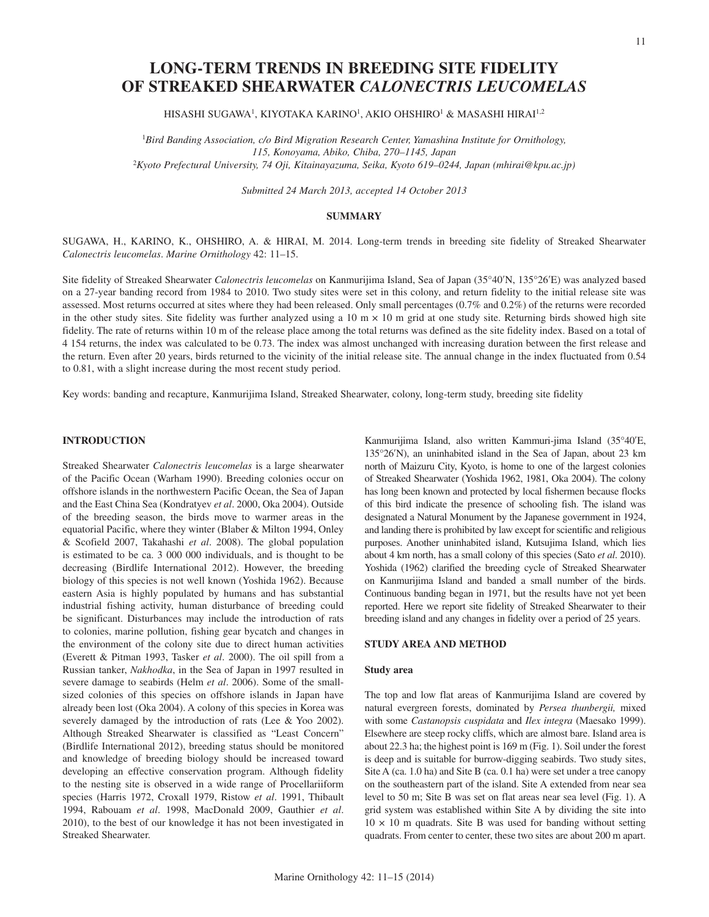# **LONG-TERM TRENDS IN BREEDING SITE FIDELITY OF STREAKED SHEARWATER** *CALONECTRIS LEUCOMELAS*

HISASHI SUGAWA1, KIYOTAKA KARINO1, AKIO OHSHIRO1 & MASASHI HIRAI1,2

<sup>1</sup>Bird Banding Association, c/o Bird Migration Research Center, Yamashina Institute for Ornithology, *115, Konoyama, Abiko, Chiba, 270–1145, Japan* <sup>2</sup>*Kyoto Prefectural University, 74 Oji, Kitainayazuma, Seika, Kyoto 619–0244, Japan (mhirai@kpu.ac.jp)*

*Submitted 24 March 2013, accepted 14 October 2013*

#### **SUMMARY**

SUGAWA, H., KARINO, K., OHSHIRO, A. & HIRAI, M. 2014. Long-term trends in breeding site fidelity of Streaked Shearwater *Calonectris leucomelas*. *Marine Ornithology* 42: 11–15.

Site fidelity of Streaked Shearwater *Calonectris leucomelas* on Kanmurijima Island, Sea of Japan (35°40'N, 135°26'E) was analyzed based on a 27-year banding record from 1984 to 2010. Two study sites were set in this colony, and return fidelity to the initial release site was assessed. Most returns occurred at sites where they had been released. Only small percentages (0.7% and 0.2%) of the returns were recorded in the other study sites. Site fidelity was further analyzed using a 10 m  $\times$  10 m grid at one study site. Returning birds showed high site fidelity. The rate of returns within 10 m of the release place among the total returns was defined as the site fidelity index. Based on a total of 4 154 returns, the index was calculated to be 0.73. The index was almost unchanged with increasing duration between the first release and the return. Even after 20 years, birds returned to the vicinity of the initial release site. The annual change in the index fluctuated from 0.54 to 0.81, with a slight increase during the most recent study period.

Key words: banding and recapture, Kanmurijima Island, Streaked Shearwater, colony, long-term study, breeding site fidelity

## **INTRODUCTION**

Streaked Shearwater *Calonectris leucomelas* is a large shearwater of the Pacific Ocean (Warham 1990). Breeding colonies occur on offshore islands in the northwestern Pacific Ocean, the Sea of Japan and the East China Sea (Kondratyev *et al*. 2000, Oka 2004). Outside of the breeding season, the birds move to warmer areas in the equatorial Pacific, where they winter (Blaber & Milton 1994, Onley & Scofield 2007, Takahashi *et al*. 2008). The global population is estimated to be ca. 3 000 000 individuals, and is thought to be decreasing (Birdlife International 2012). However, the breeding biology of this species is not well known (Yoshida 1962). Because eastern Asia is highly populated by humans and has substantial industrial fishing activity, human disturbance of breeding could be significant. Disturbances may include the introduction of rats to colonies, marine pollution, fishing gear bycatch and changes in the environment of the colony site due to direct human activities (Everett & Pitman 1993, Tasker *et al*. 2000). The oil spill from a Russian tanker, *Nakhodka*, in the Sea of Japan in 1997 resulted in severe damage to seabirds (Helm *et al*. 2006). Some of the smallsized colonies of this species on offshore islands in Japan have already been lost (Oka 2004). A colony of this species in Korea was severely damaged by the introduction of rats (Lee & Yoo 2002). Although Streaked Shearwater is classified as "Least Concern" (Birdlife International 2012), breeding status should be monitored and knowledge of breeding biology should be increased toward developing an effective conservation program. Although fidelity to the nesting site is observed in a wide range of Procellariiform species (Harris 1972, Croxall 1979, Ristow *et al*. 1991, Thibault 1994, Rabouam *et al*. 1998, MacDonald 2009, Gauthier *et al*. 2010), to the best of our knowledge it has not been investigated in Streaked Shearwater.

Kanmurijima Island, also written Kammuri-jima Island (35°40'E, 135°26'N), an uninhabited island in the Sea of Japan, about 23 km north of Maizuru City, Kyoto, is home to one of the largest colonies of Streaked Shearwater (Yoshida 1962, 1981, Oka 2004). The colony has long been known and protected by local fishermen because flocks of this bird indicate the presence of schooling fish. The island was designated a Natural Monument by the Japanese government in 1924, and landing there is prohibited by law except for scientific and religious purposes. Another uninhabited island, Kutsujima Island, which lies about 4 km north, has a small colony of this species (Sato *et al*. 2010). Yoshida (1962) clarified the breeding cycle of Streaked Shearwater on Kanmurijima Island and banded a small number of the birds. Continuous banding began in 1971, but the results have not yet been reported. Here we report site fidelity of Streaked Shearwater to their breeding island and any changes in fidelity over a period of 25 years.

#### **STUDY AREA AND METHOD**

## **Study area**

The top and low flat areas of Kanmurijima Island are covered by natural evergreen forests, dominated by *Persea thunbergii,* mixed with some *Castanopsis cuspidata* and *Ilex integra* (Maesako 1999). Elsewhere are steep rocky cliffs, which are almost bare. Island area is about 22.3 ha; the highest point is 169 m (Fig. 1). Soil under the forest is deep and is suitable for burrow-digging seabirds. Two study sites, Site A (ca. 1.0 ha) and Site B (ca. 0.1 ha) were set under a tree canopy on the southeastern part of the island. Site A extended from near sea level to 50 m; Site B was set on flat areas near sea level (Fig. 1). A grid system was established within Site A by dividing the site into  $10 \times 10$  m quadrats. Site B was used for banding without setting quadrats. From center to center, these two sites are about 200 m apart.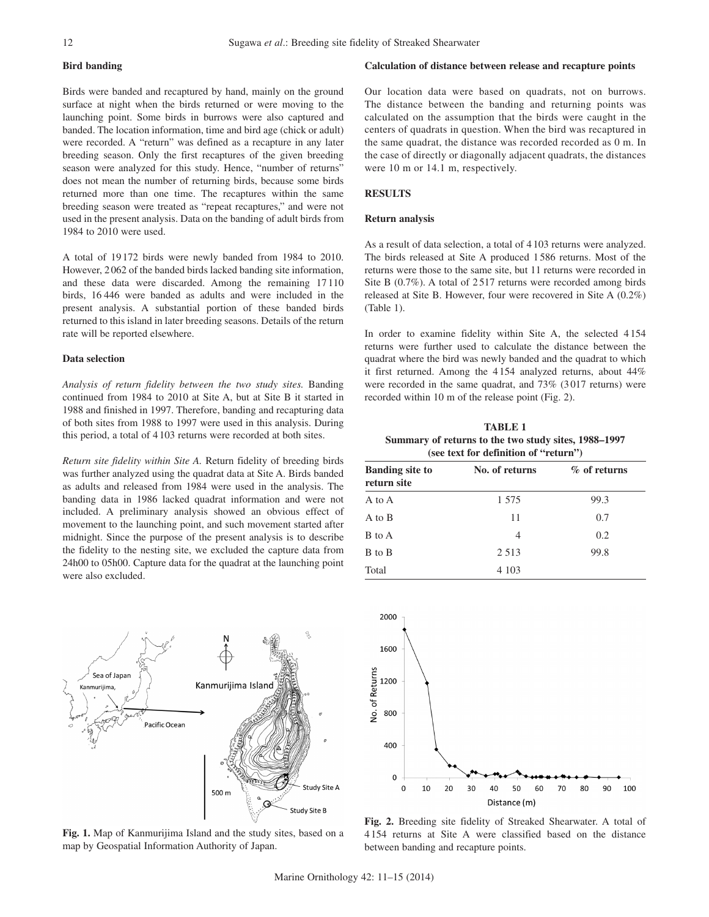## **Bird banding**

Birds were banded and recaptured by hand, mainly on the ground surface at night when the birds returned or were moving to the launching point. Some birds in burrows were also captured and banded. The location information, time and bird age (chick or adult) were recorded. A "return" was defined as a recapture in any later breeding season. Only the first recaptures of the given breeding season were analyzed for this study. Hence, "number of returns" does not mean the number of returning birds, because some birds returned more than one time. The recaptures within the same breeding season were treated as "repeat recaptures," and were not used in the present analysis. Data on the banding of adult birds from 1984 to 2010 were used.

A total of 19 172 birds were newly banded from 1984 to 2010. However, 2062 of the banded birds lacked banding site information, and these data were discarded. Among the remaining 17 110 birds, 16 446 were banded as adults and were included in the present analysis. A substantial portion of these banded birds returned to this island in later breeding seasons. Details of the return rate will be reported elsewhere.

### **Data selection**

*Analysis of return fidelity between the two study sites.* Banding continued from 1984 to 2010 at Site A, but at Site B it started in 1988 and finished in 1997. Therefore, banding and recapturing data of both sites from 1988 to 1997 were used in this analysis. During this period, a total of 4 103 returns were recorded at both sites.

*Return site fidelity within Site A.* Return fidelity of breeding birds was further analyzed using the quadrat data at Site A. Birds banded as adults and released from 1984 were used in the analysis. The banding data in 1986 lacked quadrat information and were not included. A preliminary analysis showed an obvious effect of movement to the launching point, and such movement started after midnight. Since the purpose of the present analysis is to describe the fidelity to the nesting site, we excluded the capture data from 24h00 to 05h00. Capture data for the quadrat at the launching point were also excluded.



**Fig. 1.** Map of Kanmurijima Island and the study sites, based on a map by Geospatial Information Authority of Japan.

#### **Calculation of distance between release and recapture points**

Our location data were based on quadrats, not on burrows. The distance between the banding and returning points was calculated on the assumption that the birds were caught in the centers of quadrats in question. When the bird was recaptured in the same quadrat, the distance was recorded recorded as 0 m. In the case of directly or diagonally adjacent quadrats, the distances were 10 m or 14.1 m, respectively.

#### **RESULTS**

#### **Return analysis**

As a result of data selection, a total of 4103 returns were analyzed. The birds released at Site A produced 1586 returns. Most of the returns were those to the same site, but 11 returns were recorded in Site B (0.7%). A total of 2517 returns were recorded among birds released at Site B. However, four were recovered in Site A (0.2%) (Table 1).

In order to examine fidelity within Site A, the selected 4154 returns were further used to calculate the distance between the quadrat where the bird was newly banded and the quadrat to which it first returned. Among the 4154 analyzed returns, about 44% were recorded in the same quadrat, and 73% (3017 returns) were recorded within 10 m of the release point (Fig. 2).

**TABLE 1 Summary of returns to the two study sites, 1988–1997 (see text for definition of "return")**

| <b>Banding site to</b><br>return site | No. of returns | $%$ of returns |
|---------------------------------------|----------------|----------------|
| A to A                                | 1 575          | 99.3           |
| A to B                                | 11             | 0.7            |
| B to A                                | 4              | 0.2            |
| B to B                                | 2 5 1 3        | 99.8           |
| Total                                 | 4 1 0 3        |                |



**Fig. 2.** Breeding site fidelity of Streaked Shearwater. A total of 4 154 returns at Site A were classified based on the distance between banding and recapture points.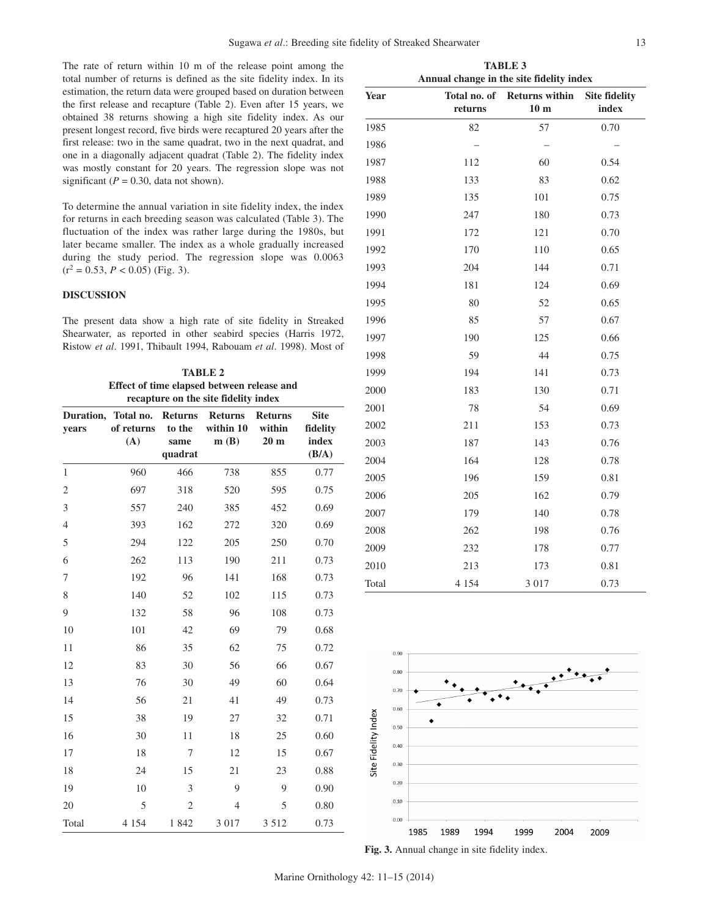The rate of return within 10 m of the release point among the total number of returns is defined as the site fidelity index. In its estimation, the return data were grouped based on duration between the first release and recapture (Table 2). Even after 15 years, we obtained 38 returns showing a high site fidelity index. As our present longest record, five birds were recaptured 20 years after the first release: two in the same quadrat, two in the next quadrat, one in a diagonally adjacent quadrat (Table 2). The fideli was mostly constant for 20 years. The regression slope significant ( $P = 0.30$ , data not shown).

To determine the annual variation in site fidelity index, the index for returns in each breeding season was calculated (Table fluctuation of the index was rather large during the 19 later became smaller. The index as a whole gradually in during the study period. The regression slope was  $(r^2 = 0.53, P < 0.05)$  (Fig. 3).

## **DISCUSSION**

The present data show a high rate of site fidelity in Shearwater, as reported in other seabird species (Harris 1972, Ristow *et al*. 1991, Thibault 1994, Rabouam *et al*. 1998). Most of

| <b>TABLE 2</b>                                                                     |                                |                                             |                                     |                                             |                                           |  |  |
|------------------------------------------------------------------------------------|--------------------------------|---------------------------------------------|-------------------------------------|---------------------------------------------|-------------------------------------------|--|--|
| Effect of time elapsed between release and<br>recapture on the site fidelity index |                                |                                             |                                     |                                             |                                           |  |  |
| Duration,<br>years                                                                 | Total no.<br>of returns<br>(A) | <b>Returns</b><br>to the<br>same<br>quadrat | <b>Returns</b><br>within 10<br>m(B) | <b>Returns</b><br>within<br>20 <sub>m</sub> | <b>Site</b><br>fidelity<br>index<br>(B/A) |  |  |
| $\mathbf{1}$                                                                       | 960                            | 466                                         | 738                                 | 855                                         | 0.77                                      |  |  |
| $\overline{2}$                                                                     | 697                            | 318                                         | 520                                 | 595                                         | 0.75                                      |  |  |
| 3                                                                                  | 557                            | 240                                         | 385                                 | 452                                         | 0.69                                      |  |  |
| $\overline{4}$                                                                     | 393                            | 162                                         | 272                                 | 320                                         | 0.69                                      |  |  |
| 5                                                                                  | 294                            | 122                                         | 205                                 | 250                                         | 0.70                                      |  |  |
| 6                                                                                  | 262                            | 113                                         | 190                                 | 211                                         | 0.73                                      |  |  |
| 7                                                                                  | 192                            | 96                                          | 141                                 | 168                                         | 0.73                                      |  |  |
| 8                                                                                  | 140                            | 52                                          | 102                                 | 115                                         | 0.73                                      |  |  |
| 9                                                                                  | 132                            | 58                                          | 96                                  | 108                                         | 0.73                                      |  |  |
| 10                                                                                 | 101                            | 42                                          | 69                                  | 79                                          | 0.68                                      |  |  |
| 11                                                                                 | 86                             | 35                                          | 62                                  | 75                                          | 0.72                                      |  |  |
| 12                                                                                 | 83                             | 30                                          | 56                                  | 66                                          | 0.67                                      |  |  |
| 13                                                                                 | 76                             | 30                                          | 49                                  | 60                                          | 0.64                                      |  |  |
| 14                                                                                 | 56                             | 21                                          | 41                                  | 49                                          | 0.73                                      |  |  |
| 15                                                                                 | 38                             | 19                                          | 27                                  | 32                                          | 0.71                                      |  |  |
| 16                                                                                 | 30                             | 11                                          | 18                                  | 25                                          | 0.60                                      |  |  |
| 17                                                                                 | 18                             | 7                                           | 12                                  | 15                                          | 0.67                                      |  |  |
| 18                                                                                 | 24                             | 15                                          | 21                                  | 23                                          | 0.88                                      |  |  |
| 19                                                                                 | 10                             | 3                                           | 9                                   | 9                                           | 0.90                                      |  |  |
| 20                                                                                 | 5                              | $\overline{2}$                              | 4                                   | 5                                           | 0.80                                      |  |  |
| Total                                                                              | 4 1 5 4                        | 1842                                        | 3 0 1 7                             | 3 5 1 2                                     | 0.73                                      |  |  |

| drat, and<br>ty index<br>was not                        | 1986 |     |     |      |
|---------------------------------------------------------|------|-----|-----|------|
|                                                         | 1987 | 112 | 60  | 0.54 |
|                                                         | 1988 | 133 | 83  | 0.62 |
| he index<br>: 3). The<br>80s, but<br>ncreased<br>0.0063 | 1989 | 135 | 101 | 0.75 |
|                                                         | 1990 | 247 | 180 | 0.73 |
|                                                         | 1991 | 172 | 121 | 0.70 |
|                                                         | 1992 | 170 | 110 | 0.65 |
|                                                         | 1993 | 204 | 144 | 0.71 |
|                                                         | 1994 | 181 | 124 | 0.69 |
|                                                         | 1995 | 80  | 52  | 0.65 |
| Streaked                                                | 1996 | 85  | 57  | 0.67 |

**Year Total no. of** 

**returns**

| 1993 | 204 | 144 | 0.71 |  |
|------|-----|-----|------|--|
| 1994 | 181 | 124 | 0.69 |  |
| 1995 | 80  | 52  | 0.65 |  |
| 1996 | 85  | 57  | 0.67 |  |
| 1997 | 190 | 125 | 0.66 |  |
| 1998 | 59  | 44  | 0.75 |  |
| 1999 | 194 | 141 | 0.73 |  |
| 2000 | 183 | 130 | 0.71 |  |
| 2001 | 78  | 54  | 0.69 |  |
| 2002 | 211 | 153 | 0.73 |  |
| 2003 | 187 | 143 | 0.76 |  |
| 2004 | 164 | 128 | 0.78 |  |
| 2005 | 196 | 159 | 0.81 |  |
| 2006 | 205 | 162 | 0.79 |  |
| 2007 | 179 | 140 | 0.78 |  |
| 2008 | 262 | 198 | 0.76 |  |
| 2009 | 232 | 178 | 0.77 |  |
| 2010 | 213 | 173 | 0.81 |  |
|      |     |     |      |  |

**TABLE 3 Annual change in the site fidelity index** 

1985 82 57 0.70

**Returns within 10 m**



Total 4 154 3 017 0.73

**Fig. 3.** Annual change in site fidelity index.

**Site fidelity index**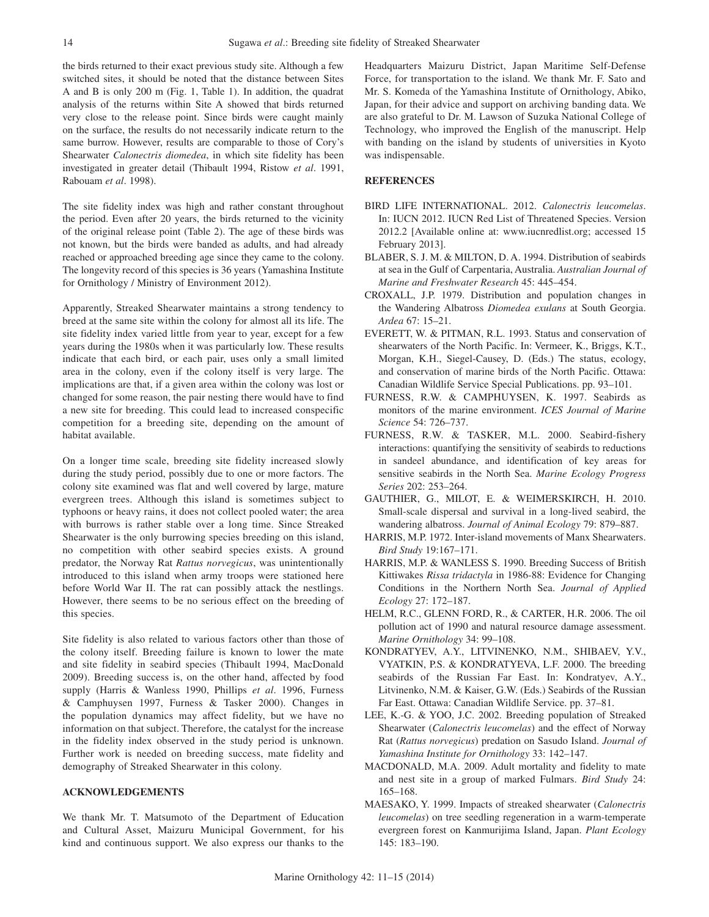the birds returned to their exact previous study site. Although a few switched sites, it should be noted that the distance between Sites A and B is only 200 m (Fig. 1, Table 1). In addition, the quadrat analysis of the returns within Site A showed that birds returned very close to the release point. Since birds were caught mainly on the surface, the results do not necessarily indicate return to the same burrow. However, results are comparable to those of Cory's Shearwater *Calonectris diomedea*, in which site fidelity has been investigated in greater detail (Thibault 1994, Ristow *et al*. 1991, Rabouam *et al*. 1998).

The site fidelity index was high and rather constant throughout the period. Even after 20 years, the birds returned to the vicinity of the original release point (Table 2). The age of these birds was not known, but the birds were banded as adults, and had already reached or approached breeding age since they came to the colony. The longevity record of this species is 36 years (Yamashina Institute for Ornithology / Ministry of Environment 2012).

Apparently, Streaked Shearwater maintains a strong tendency to breed at the same site within the colony for almost all its life. The site fidelity index varied little from year to year, except for a few years during the 1980s when it was particularly low. These results indicate that each bird, or each pair, uses only a small limited area in the colony, even if the colony itself is very large. The implications are that, if a given area within the colony was lost or changed for some reason, the pair nesting there would have to find a new site for breeding. This could lead to increased conspecific competition for a breeding site, depending on the amount of habitat available.

On a longer time scale, breeding site fidelity increased slowly during the study period, possibly due to one or more factors. The colony site examined was flat and well covered by large, mature evergreen trees. Although this island is sometimes subject to typhoons or heavy rains, it does not collect pooled water; the area with burrows is rather stable over a long time. Since Streaked Shearwater is the only burrowing species breeding on this island, no competition with other seabird species exists. A ground predator, the Norway Rat *Rattus norvegicus*, was unintentionally introduced to this island when army troops were stationed here before World War II. The rat can possibly attack the nestlings. However, there seems to be no serious effect on the breeding of this species.

Site fidelity is also related to various factors other than those of the colony itself. Breeding failure is known to lower the mate and site fidelity in seabird species (Thibault 1994, MacDonald 2009). Breeding success is, on the other hand, affected by food supply (Harris & Wanless 1990, Phillips *et al*. 1996, Furness & Camphuysen 1997, Furness & Tasker 2000). Changes in the population dynamics may affect fidelity, but we have no information on that subject. Therefore, the catalyst for the increase in the fidelity index observed in the study period is unknown. Further work is needed on breeding success, mate fidelity and demography of Streaked Shearwater in this colony.

## **ACKNOWLEDGEMENTS**

We thank Mr. T. Matsumoto of the Department of Education and Cultural Asset, Maizuru Municipal Government, for his kind and continuous support. We also express our thanks to the Headquarters Maizuru District, Japan Maritime Self-Defense Force, for transportation to the island. We thank Mr. F. Sato and Mr. S. Komeda of the Yamashina Institute of Ornithology, Abiko, Japan, for their advice and support on archiving banding data. We are also grateful to Dr. M. Lawson of Suzuka National College of Technology, who improved the English of the manuscript. Help with banding on the island by students of universities in Kyoto was indispensable.

## **REFERENCES**

- BIRD LIFE INTERNATIONAL. 2012. *Calonectris leucomelas*. In: IUCN 2012. IUCN Red List of Threatened Species. Version 2012.2 [Available online at: www.iucnredlist.org; accessed 15 February 2013].
- BLABER, S. J. M. & MILTON, D. A. 1994. Distribution of seabirds at sea in the Gulf of Carpentaria, Australia. *Australian Journal of Marine and Freshwater Research* 45: 445–454.
- CROXALL, J.P. 1979. Distribution and population changes in the Wandering Albatross *Diomedea exulans* at South Georgia. *Ardea* 67: 15–21.
- EVERETT, W. & PITMAN, R.L. 1993. Status and conservation of shearwaters of the North Pacific. In: Vermeer, K., Briggs, K.T., Morgan, K.H., Siegel-Causey, D. (Eds.) The status, ecology, and conservation of marine birds of the North Pacific. Ottawa: Canadian Wildlife Service Special Publications. pp. 93–101.
- FURNESS, R.W. & CAMPHUYSEN, K. 1997. Seabirds as monitors of the marine environment. *ICES Journal of Marine Science* 54: 726–737.
- FURNESS, R.W. & TASKER, M.L. 2000. Seabird-fishery interactions: quantifying the sensitivity of seabirds to reductions in sandeel abundance, and identification of key areas for sensitive seabirds in the North Sea. *Marine Ecology Progress Series* 202: 253–264.
- GAUTHIER, G., MILOT, E. & WEIMERSKIRCH, H. 2010. Small-scale dispersal and survival in a long-lived seabird, the wandering albatross. *Journal of Animal Ecology* 79: 879–887.
- HARRIS, M.P. 1972. Inter-island movements of Manx Shearwaters. *Bird Study* 19:167–171.
- HARRIS, M.P. & WANLESS S. 1990. Breeding Success of British Kittiwakes *Rissa tridactyla* in 1986-88: Evidence for Changing Conditions in the Northern North Sea. *Journal of Applied Ecology* 27: 172–187.
- HELM, R.C., GLENN FORD, R., & CARTER, H.R. 2006. The oil pollution act of 1990 and natural resource damage assessment. *Marine Ornithology* 34: 99–108.
- KONDRATYEV, A.Y., LITVINENKO, N.M., SHIBAEV, Y.V., VYATKIN, P.S. & KONDRATYEVA, L.F. 2000. The breeding seabirds of the Russian Far East. In: Kondratyev, A.Y., Litvinenko, N.M. & Kaiser, G.W. (Eds.) Seabirds of the Russian Far East. Ottawa: Canadian Wildlife Service. pp. 37–81.
- LEE, K.-G. & YOO, J.C. 2002. Breeding population of Streaked Shearwater (*Calonectris leucomelas*) and the effect of Norway Rat (*Rattus norvegicus*) predation on Sasudo Island. *Journal of Yamashina Institute for Ornithology* 33: 142–147.
- MACDONALD, M.A. 2009. Adult mortality and fidelity to mate and nest site in a group of marked Fulmars. *Bird Study* 24: 165–168.
- MAESAKO, Y. 1999. Impacts of streaked shearwater (*Calonectris leucomelas*) on tree seedling regeneration in a warm-temperate evergreen forest on Kanmurijima Island, Japan. *Plant Ecology* 145: 183–190.